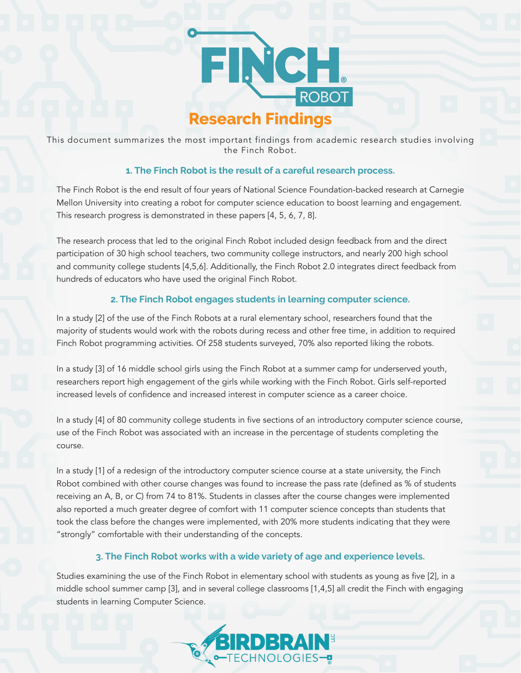

This document summarizes the most important findings from academic research studies involving the Finch Robot.

### **1. The Finch Robot is the result of a careful research process.**

The Finch Robot is the end result of four years of National Science Foundation-backed research at Carnegie Mellon University into creating a robot for computer science education to boost learning and engagement. This research progress is demonstrated in these papers [4, 5, 6, 7, 8].

The research process that led to the original Finch Robot included design feedback from and the direct participation of 30 high school teachers, two community college instructors, and nearly 200 high school and community college students [4,5,6]. Additionally, the Finch Robot 2.0 integrates direct feedback from hundreds of educators who have used the original Finch Robot.

## **2. The Finch Robot engages students in learning computer science.**

In a study [2] of the use of the Finch Robots at a rural elementary school, researchers found that the majority of students would work with the robots during recess and other free time, in addition to required Finch Robot programming activities. Of 258 students surveyed, 70% also reported liking the robots.

In a study [3] of 16 middle school girls using the Finch Robot at a summer camp for underserved youth, researchers report high engagement of the girls while working with the Finch Robot. Girls self-reported increased levels of confidence and increased interest in computer science as a career choice.

In a study [4] of 80 community college students in five sections of an introductory computer science course, use of the Finch Robot was associated with an increase in the percentage of students completing the course.

In a study [1] of a redesign of the introductory computer science course at a state university, the Finch Robot combined with other course changes was found to increase the pass rate (defined as % of students receiving an A, B, or C) from 74 to 81%. Students in classes after the course changes were implemented also reported a much greater degree of comfort with 11 computer science concepts than students that took the class before the changes were implemented, with 20% more students indicating that they were "strongly" comfortable with their understanding of the concepts.

# **3. The Finch Robot works with a wide variety of age and experience levels.**

Studies examining the use of the Finch Robot in elementary school with students as young as five [2], in a middle school summer camp [3], and in several college classrooms [1,4,5] all credit the Finch with engaging students in learning Computer Science.